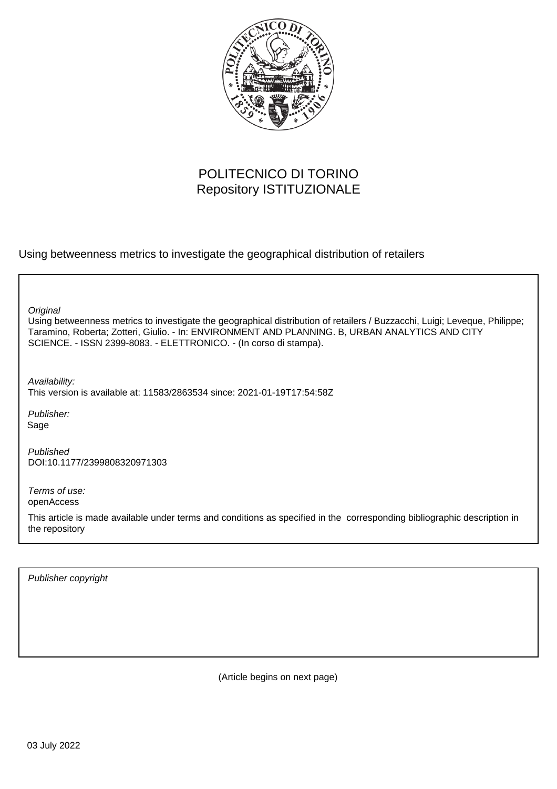

# POLITECNICO DI TORINO Repository ISTITUZIONALE

Using betweenness metrics to investigate the geographical distribution of retailers

**Original** 

Using betweenness metrics to investigate the geographical distribution of retailers / Buzzacchi, Luigi; Leveque, Philippe; Taramino, Roberta; Zotteri, Giulio. - In: ENVIRONMENT AND PLANNING. B, URBAN ANALYTICS AND CITY SCIENCE. - ISSN 2399-8083. - ELETTRONICO. - (In corso di stampa).

Availability: This version is available at: 11583/2863534 since: 2021-01-19T17:54:58Z

Publisher: Sage

Published DOI:10.1177/2399808320971303

Terms of use: openAccess

This article is made available under terms and conditions as specified in the corresponding bibliographic description in the repository

Publisher copyright

(Article begins on next page)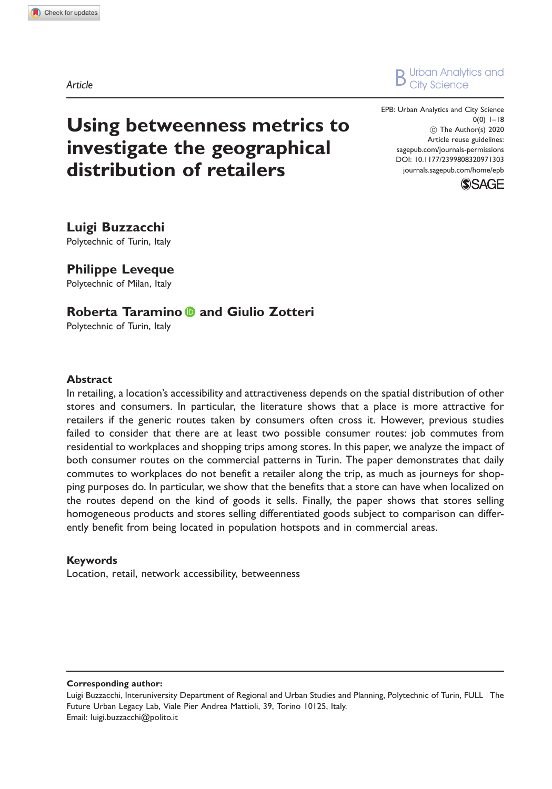Article



EPB: Urban Analytics and City Science 0(0) 1–18 C The Author(s) 2020 Article reuse guidelines: [sagepub.com/journals-permissions](http://uk.sagepub.com/en-gb/journals-permissions) [DOI: 10.1177/2399808320971303](http://dx.doi.org/10.1177/2399808320971303) <journals.sagepub.com/home/epb>



investigate the geographical distribution of retailers

Using betweenness metrics to

Luigi Buzzacchi Polytechnic of Turin, Italy

Philippe Leveque

Polytechnic of Milan, Italy

# Roberta Taramino **D** and Giulio Zotteri

Polytechnic of Turin, Italy

# **Abstract**

In retailing, a location's accessibility and attractiveness depends on the spatial distribution of other stores and consumers. In particular, the literature shows that a place is more attractive for retailers if the generic routes taken by consumers often cross it. However, previous studies failed to consider that there are at least two possible consumer routes: job commutes from residential to workplaces and shopping trips among stores. In this paper, we analyze the impact of both consumer routes on the commercial patterns in Turin. The paper demonstrates that daily commutes to workplaces do not benefit a retailer along the trip, as much as journeys for shopping purposes do. In particular, we show that the benefits that a store can have when localized on the routes depend on the kind of goods it sells. Finally, the paper shows that stores selling homogeneous products and stores selling differentiated goods subject to comparison can differently benefit from being located in population hotspots and in commercial areas.

# Keywords

Location, retail, network accessibility, betweenness

#### Corresponding author:

Luigi Buzzacchi, Interuniversity Department of Regional and Urban Studies and Planning, Polytechnic of Turin, FULL | The Future Urban Legacy Lab, Viale Pier Andrea Mattioli, 39, Torino 10125, Italy. Email: [luigi.buzzacchi@polito.it](mailto:luigi.buzzacchi@polito.it)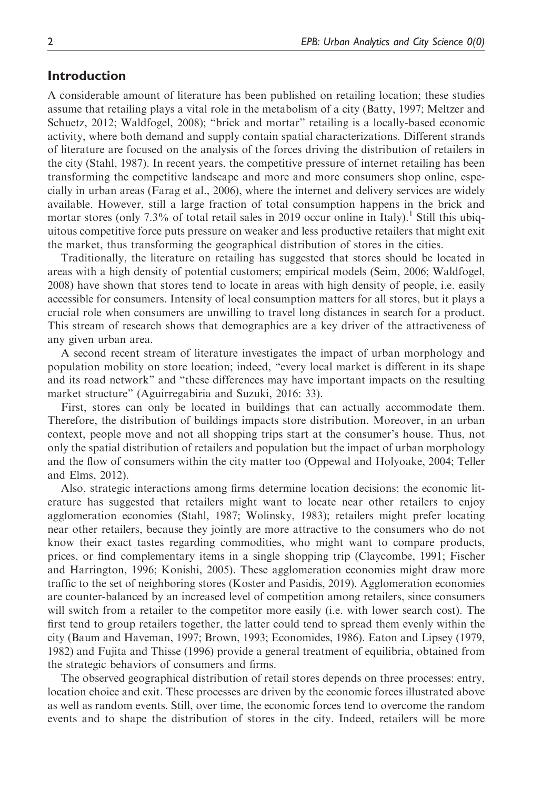# Introduction

A considerable amount of literature has been published on retailing location; these studies assume that retailing plays a vital role in the metabolism of a city (Batty, 1997; Meltzer and Schuetz, 2012; Waldfogel, 2008); "brick and mortar" retailing is a locally-based economic activity, where both demand and supply contain spatial characterizations. Different strands of literature are focused on the analysis of the forces driving the distribution of retailers in the city (Stahl, 1987). In recent years, the competitive pressure of internet retailing has been transforming the competitive landscape and more and more consumers shop online, especially in urban areas (Farag et al., 2006), where the internet and delivery services are widely available. However, still a large fraction of total consumption happens in the brick and mortar stores (only 7.3% of total retail sales in 2019 occur online in Italy).<sup>1</sup> Still this ubiquitous competitive force puts pressure on weaker and less productive retailers that might exit the market, thus transforming the geographical distribution of stores in the cities.

Traditionally, the literature on retailing has suggested that stores should be located in areas with a high density of potential customers; empirical models (Seim, 2006; Waldfogel, 2008) have shown that stores tend to locate in areas with high density of people, i.e. easily accessible for consumers. Intensity of local consumption matters for all stores, but it plays a crucial role when consumers are unwilling to travel long distances in search for a product. This stream of research shows that demographics are a key driver of the attractiveness of any given urban area.

A second recent stream of literature investigates the impact of urban morphology and population mobility on store location; indeed, "every local market is different in its shape and its road network" and "these differences may have important impacts on the resulting market structure" (Aguirregabiria and Suzuki, 2016: 33).

First, stores can only be located in buildings that can actually accommodate them. Therefore, the distribution of buildings impacts store distribution. Moreover, in an urban context, people move and not all shopping trips start at the consumer's house. Thus, not only the spatial distribution of retailers and population but the impact of urban morphology and the flow of consumers within the city matter too (Oppewal and Holyoake, 2004; Teller and Elms, 2012).

Also, strategic interactions among firms determine location decisions; the economic literature has suggested that retailers might want to locate near other retailers to enjoy agglomeration economies (Stahl, 1987; Wolinsky, 1983); retailers might prefer locating near other retailers, because they jointly are more attractive to the consumers who do not know their exact tastes regarding commodities, who might want to compare products, prices, or find complementary items in a single shopping trip (Claycombe, 1991; Fischer and Harrington, 1996; Konishi, 2005). These agglomeration economies might draw more traffic to the set of neighboring stores (Koster and Pasidis, 2019). Agglomeration economies are counter-balanced by an increased level of competition among retailers, since consumers will switch from a retailer to the competitor more easily (i.e. with lower search cost). The first tend to group retailers together, the latter could tend to spread them evenly within the city (Baum and Haveman, 1997; Brown, 1993; Economides, 1986). Eaton and Lipsey (1979, 1982) and Fujita and Thisse (1996) provide a general treatment of equilibria, obtained from the strategic behaviors of consumers and firms.

The observed geographical distribution of retail stores depends on three processes: entry, location choice and exit. These processes are driven by the economic forces illustrated above as well as random events. Still, over time, the economic forces tend to overcome the random events and to shape the distribution of stores in the city. Indeed, retailers will be more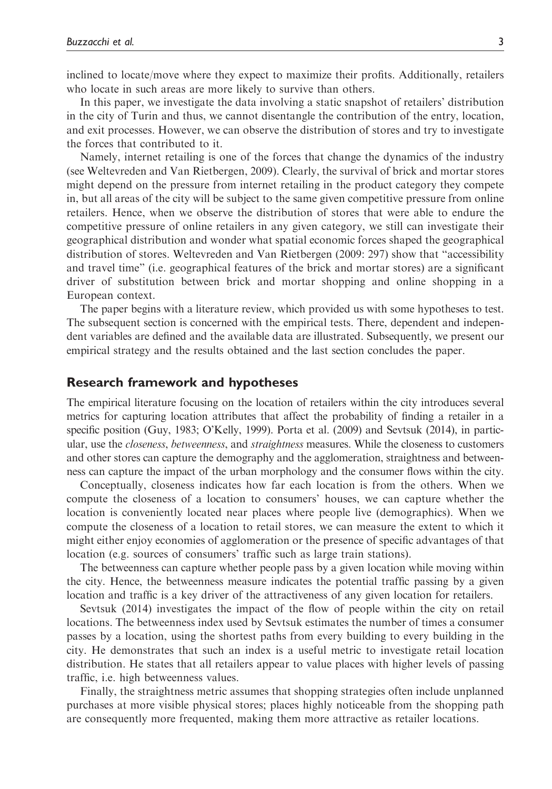inclined to locate/move where they expect to maximize their profits. Additionally, retailers who locate in such areas are more likely to survive than others.

In this paper, we investigate the data involving a static snapshot of retailers' distribution in the city of Turin and thus, we cannot disentangle the contribution of the entry, location, and exit processes. However, we can observe the distribution of stores and try to investigate the forces that contributed to it.

Namely, internet retailing is one of the forces that change the dynamics of the industry (see Weltevreden and Van Rietbergen, 2009). Clearly, the survival of brick and mortar stores might depend on the pressure from internet retailing in the product category they compete in, but all areas of the city will be subject to the same given competitive pressure from online retailers. Hence, when we observe the distribution of stores that were able to endure the competitive pressure of online retailers in any given category, we still can investigate their geographical distribution and wonder what spatial economic forces shaped the geographical distribution of stores. Weltevreden and Van Rietbergen (2009: 297) show that "accessibility and travel time" (i.e. geographical features of the brick and mortar stores) are a significant driver of substitution between brick and mortar shopping and online shopping in a European context.

The paper begins with a literature review, which provided us with some hypotheses to test. The subsequent section is concerned with the empirical tests. There, dependent and independent variables are defined and the available data are illustrated. Subsequently, we present our empirical strategy and the results obtained and the last section concludes the paper.

# Research framework and hypotheses

The empirical literature focusing on the location of retailers within the city introduces several metrics for capturing location attributes that affect the probability of finding a retailer in a specific position (Guy, 1983; O'Kelly, 1999). Porta et al. (2009) and Sevtsuk (2014), in particular, use the *closeness*, *betweenness*, and *straightness* measures. While the closeness to customers and other stores can capture the demography and the agglomeration, straightness and betweenness can capture the impact of the urban morphology and the consumer flows within the city.

Conceptually, closeness indicates how far each location is from the others. When we compute the closeness of a location to consumers' houses, we can capture whether the location is conveniently located near places where people live (demographics). When we compute the closeness of a location to retail stores, we can measure the extent to which it might either enjoy economies of agglomeration or the presence of specific advantages of that location (e.g. sources of consumers' traffic such as large train stations).

The betweenness can capture whether people pass by a given location while moving within the city. Hence, the betweenness measure indicates the potential traffic passing by a given location and traffic is a key driver of the attractiveness of any given location for retailers.

Sevtsuk (2014) investigates the impact of the flow of people within the city on retail locations. The betweenness index used by Sevtsuk estimates the number of times a consumer passes by a location, using the shortest paths from every building to every building in the city. He demonstrates that such an index is a useful metric to investigate retail location distribution. He states that all retailers appear to value places with higher levels of passing traffic, i.e. high betweenness values.

Finally, the straightness metric assumes that shopping strategies often include unplanned purchases at more visible physical stores; places highly noticeable from the shopping path are consequently more frequented, making them more attractive as retailer locations.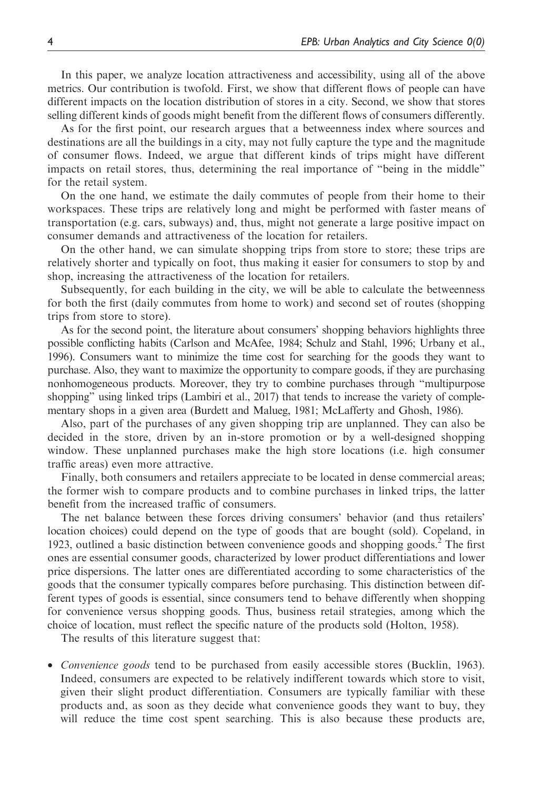In this paper, we analyze location attractiveness and accessibility, using all of the above metrics. Our contribution is twofold. First, we show that different flows of people can have different impacts on the location distribution of stores in a city. Second, we show that stores selling different kinds of goods might benefit from the different flows of consumers differently.

As for the first point, our research argues that a betweenness index where sources and destinations are all the buildings in a city, may not fully capture the type and the magnitude of consumer flows. Indeed, we argue that different kinds of trips might have different impacts on retail stores, thus, determining the real importance of "being in the middle" for the retail system.

On the one hand, we estimate the daily commutes of people from their home to their workspaces. These trips are relatively long and might be performed with faster means of transportation (e.g. cars, subways) and, thus, might not generate a large positive impact on consumer demands and attractiveness of the location for retailers.

On the other hand, we can simulate shopping trips from store to store; these trips are relatively shorter and typically on foot, thus making it easier for consumers to stop by and shop, increasing the attractiveness of the location for retailers.

Subsequently, for each building in the city, we will be able to calculate the betweenness for both the first (daily commutes from home to work) and second set of routes (shopping trips from store to store).

As for the second point, the literature about consumers' shopping behaviors highlights three possible conflicting habits (Carlson and McAfee, 1984; Schulz and Stahl, 1996; Urbany et al., 1996). Consumers want to minimize the time cost for searching for the goods they want to purchase. Also, they want to maximize the opportunity to compare goods, if they are purchasing nonhomogeneous products. Moreover, they try to combine purchases through "multipurpose shopping" using linked trips (Lambiri et al., 2017) that tends to increase the variety of complementary shops in a given area (Burdett and Malueg, 1981; McLafferty and Ghosh, 1986).

Also, part of the purchases of any given shopping trip are unplanned. They can also be decided in the store, driven by an in-store promotion or by a well-designed shopping window. These unplanned purchases make the high store locations (i.e. high consumer traffic areas) even more attractive.

Finally, both consumers and retailers appreciate to be located in dense commercial areas; the former wish to compare products and to combine purchases in linked trips, the latter benefit from the increased traffic of consumers.

The net balance between these forces driving consumers' behavior (and thus retailers' location choices) could depend on the type of goods that are bought (sold). Copeland, in 1923, outlined a basic distinction between convenience goods and shopping goods.<sup>2</sup> The first ones are essential consumer goods, characterized by lower product differentiations and lower price dispersions. The latter ones are differentiated according to some characteristics of the goods that the consumer typically compares before purchasing. This distinction between different types of goods is essential, since consumers tend to behave differently when shopping for convenience versus shopping goods. Thus, business retail strategies, among which the choice of location, must reflect the specific nature of the products sold (Holton, 1958).

The results of this literature suggest that:

• Convenience goods tend to be purchased from easily accessible stores (Bucklin, 1963). Indeed, consumers are expected to be relatively indifferent towards which store to visit, given their slight product differentiation. Consumers are typically familiar with these products and, as soon as they decide what convenience goods they want to buy, they will reduce the time cost spent searching. This is also because these products are,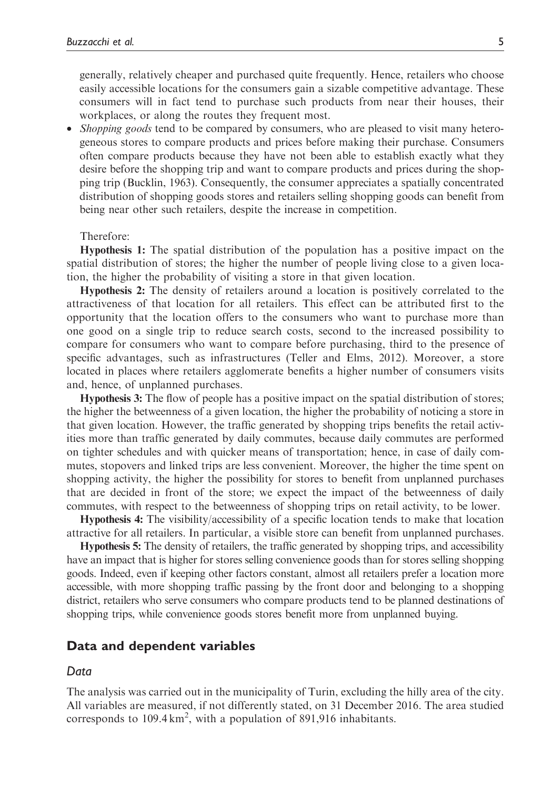generally, relatively cheaper and purchased quite frequently. Hence, retailers who choose easily accessible locations for the consumers gain a sizable competitive advantage. These consumers will in fact tend to purchase such products from near their houses, their workplaces, or along the routes they frequent most.

• *Shopping goods* tend to be compared by consumers, who are pleased to visit many heterogeneous stores to compare products and prices before making their purchase. Consumers often compare products because they have not been able to establish exactly what they desire before the shopping trip and want to compare products and prices during the shopping trip (Bucklin, 1963). Consequently, the consumer appreciates a spatially concentrated distribution of shopping goods stores and retailers selling shopping goods can benefit from being near other such retailers, despite the increase in competition.

#### Therefore:

Hypothesis 1: The spatial distribution of the population has a positive impact on the spatial distribution of stores; the higher the number of people living close to a given location, the higher the probability of visiting a store in that given location.

Hypothesis 2: The density of retailers around a location is positively correlated to the attractiveness of that location for all retailers. This effect can be attributed first to the opportunity that the location offers to the consumers who want to purchase more than one good on a single trip to reduce search costs, second to the increased possibility to compare for consumers who want to compare before purchasing, third to the presence of specific advantages, such as infrastructures (Teller and Elms, 2012). Moreover, a store located in places where retailers agglomerate benefits a higher number of consumers visits and, hence, of unplanned purchases.

Hypothesis 3: The flow of people has a positive impact on the spatial distribution of stores; the higher the betweenness of a given location, the higher the probability of noticing a store in that given location. However, the traffic generated by shopping trips benefits the retail activities more than traffic generated by daily commutes, because daily commutes are performed on tighter schedules and with quicker means of transportation; hence, in case of daily commutes, stopovers and linked trips are less convenient. Moreover, the higher the time spent on shopping activity, the higher the possibility for stores to benefit from unplanned purchases that are decided in front of the store; we expect the impact of the betweenness of daily commutes, with respect to the betweenness of shopping trips on retail activity, to be lower.

Hypothesis 4: The visibility/accessibility of a specific location tends to make that location attractive for all retailers. In particular, a visible store can benefit from unplanned purchases.

Hypothesis 5: The density of retailers, the traffic generated by shopping trips, and accessibility have an impact that is higher for stores selling convenience goods than for stores selling shopping goods. Indeed, even if keeping other factors constant, almost all retailers prefer a location more accessible, with more shopping traffic passing by the front door and belonging to a shopping district, retailers who serve consumers who compare products tend to be planned destinations of shopping trips, while convenience goods stores benefit more from unplanned buying.

## Data and dependent variables

## Data

The analysis was carried out in the municipality of Turin, excluding the hilly area of the city. All variables are measured, if not differently stated, on 31 December 2016. The area studied corresponds to  $109.4 \text{ km}^2$ , with a population of 891,916 inhabitants.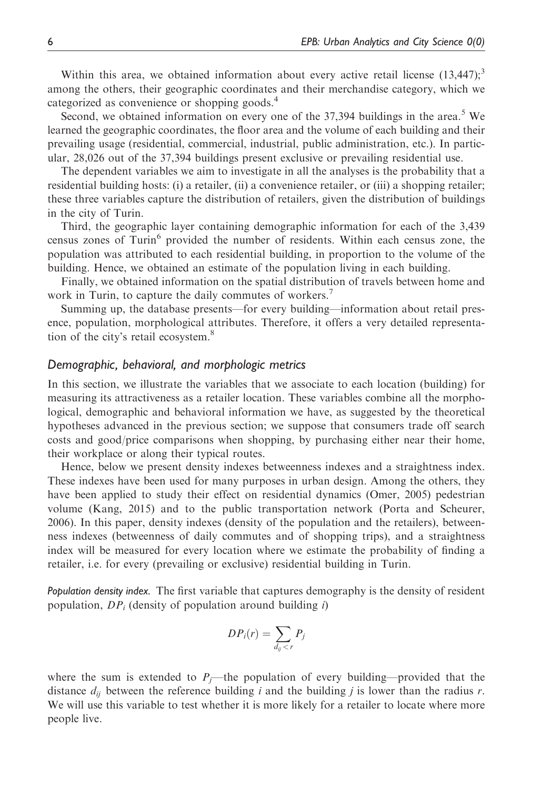Within this area, we obtained information about every active retail license  $(13,447)$ ;<sup>3</sup> among the others, their geographic coordinates and their merchandise category, which we categorized as convenience or shopping goods.<sup>4</sup>

Second, we obtained information on every one of the  $37,394$  buildings in the area.<sup>5</sup> We learned the geographic coordinates, the floor area and the volume of each building and their prevailing usage (residential, commercial, industrial, public administration, etc.). In particular, 28,026 out of the 37,394 buildings present exclusive or prevailing residential use.

The dependent variables we aim to investigate in all the analyses is the probability that a residential building hosts: (i) a retailer, (ii) a convenience retailer, or (iii) a shopping retailer; these three variables capture the distribution of retailers, given the distribution of buildings in the city of Turin.

Third, the geographic layer containing demographic information for each of the 3,439 census zones of Turin<sup>6</sup> provided the number of residents. Within each census zone, the population was attributed to each residential building, in proportion to the volume of the building. Hence, we obtained an estimate of the population living in each building.

Finally, we obtained information on the spatial distribution of travels between home and work in Turin, to capture the daily commutes of workers.<sup>7</sup>

Summing up, the database presents—for every building—information about retail presence, population, morphological attributes. Therefore, it offers a very detailed representation of the city's retail ecosystem.<sup>8</sup>

# Demographic, behavioral, and morphologic metrics

In this section, we illustrate the variables that we associate to each location (building) for measuring its attractiveness as a retailer location. These variables combine all the morphological, demographic and behavioral information we have, as suggested by the theoretical hypotheses advanced in the previous section; we suppose that consumers trade off search costs and good/price comparisons when shopping, by purchasing either near their home, their workplace or along their typical routes.

Hence, below we present density indexes betweenness indexes and a straightness index. These indexes have been used for many purposes in urban design. Among the others, they have been applied to study their effect on residential dynamics (Omer, 2005) pedestrian volume (Kang, 2015) and to the public transportation network (Porta and Scheurer, 2006). In this paper, density indexes (density of the population and the retailers), betweenness indexes (betweenness of daily commutes and of shopping trips), and a straightness index will be measured for every location where we estimate the probability of finding a retailer, i.e. for every (prevailing or exclusive) residential building in Turin.

Population density index. The first variable that captures demography is the density of resident population,  $DP_i$  (density of population around building i)

$$
DP_i(r) = \sum_{d_{ij} < r} P_j
$$

where the sum is extended to  $P_j$ —the population of every building—provided that the distance  $d_{ij}$  between the reference building i and the building j is lower than the radius r. We will use this variable to test whether it is more likely for a retailer to locate where more people live.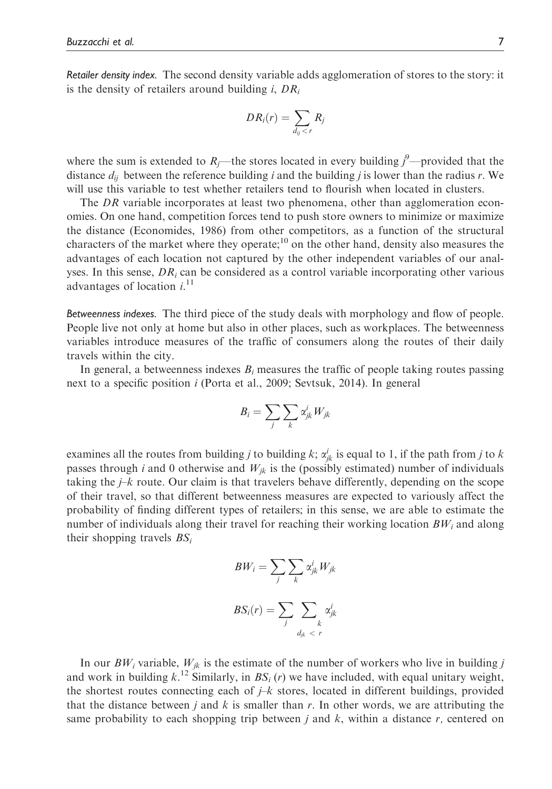Retailer density index. The second density variable adds agglomeration of stores to the story: it is the density of retailers around building i,  $DR<sub>i</sub>$ 

$$
DR_i(r) = \sum_{d_{ij} < r} R_j
$$

where the sum is extended to  $R_j$ —the stores located in every building  $j^9$ —provided that the distance  $d_{ii}$  between the reference building *i* and the building *j* is lower than the radius *r*. We will use this variable to test whether retailers tend to flourish when located in clusters.

The DR variable incorporates at least two phenomena, other than agglomeration economies. On one hand, competition forces tend to push store owners to minimize or maximize the distance (Economides, 1986) from other competitors, as a function of the structural characters of the market where they operate;<sup>10</sup> on the other hand, density also measures the advantages of each location not captured by the other independent variables of our analyses. In this sense,  $DR<sub>i</sub>$  can be considered as a control variable incorporating other various advantages of location  $i$ .<sup>11</sup>

Betweenness indexes. The third piece of the study deals with morphology and flow of people. People live not only at home but also in other places, such as workplaces. The betweenness variables introduce measures of the traffic of consumers along the routes of their daily travels within the city.

In general, a betweenness indexes  $B_i$  measures the traffic of people taking routes passing next to a specific position i (Porta et al., 2009; Sevtsuk, 2014). In general

$$
B_i = \sum_j \sum_k \alpha_{jk}^i W_{jk}
$$

examines all the routes from building *j* to building *k*;  $\alpha_{jk}^i$  is equal to 1, if the path from *j* to *k* passes through i and 0 otherwise and  $W_{ik}$  is the (possibly estimated) number of individuals taking the  $\dot{\rho}$  route. Our claim is that travelers behave differently, depending on the scope of their travel, so that different betweenness measures are expected to variously affect the probability of finding different types of retailers; in this sense, we are able to estimate the number of individuals along their travel for reaching their working location  $BW_i$  and along their shopping travels  $BS_i$ 

$$
BW_i = \sum_{j} \sum_{k} \alpha_{jk}^{i} W_{jk}
$$

$$
BS_i(r) = \sum_{j} \sum_{\substack{k \\ d_{jk} < r}} \alpha_{jk}^{i}
$$

In our  $BW_i$  variable,  $W_{ik}$  is the estimate of the number of workers who live in building j and work in building  $k<sup>12</sup>$  Similarly, in  $BS<sub>i</sub>(r)$  we have included, with equal unitary weight, the shortest routes connecting each of  $j-k$  stores, located in different buildings, provided that the distance between j and  $k$  is smaller than r. In other words, we are attributing the same probability to each shopping trip between  $j$  and  $k$ , within a distance  $r$ , centered on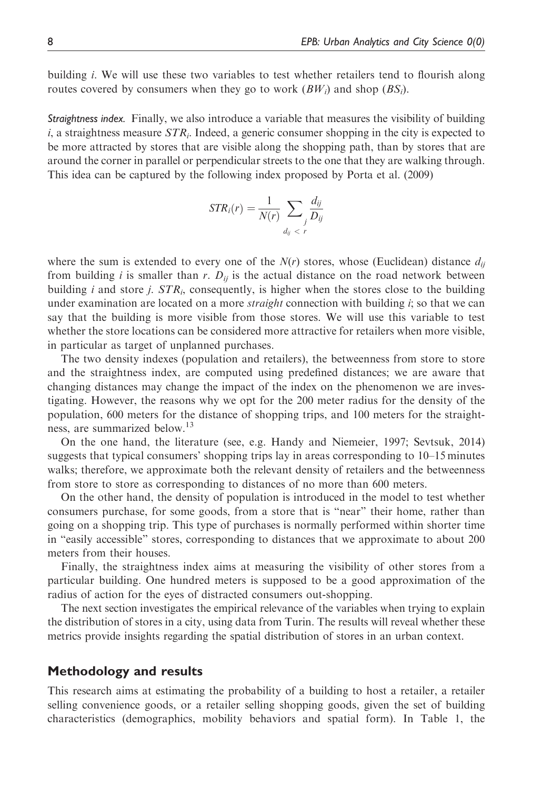building *i*. We will use these two variables to test whether retailers tend to flourish along routes covered by consumers when they go to work  $(BW_i)$  and shop  $(BS_i)$ .

Straightness index. Finally, we also introduce a variable that measures the visibility of building i, a straightness measure  $STR<sub>i</sub>$ . Indeed, a generic consumer shopping in the city is expected to be more attracted by stores that are visible along the shopping path, than by stores that are around the corner in parallel or perpendicular streets to the one that they are walking through. This idea can be captured by the following index proposed by Porta et al. (2009)

$$
STR_i(r) = \frac{1}{N(r)} \sum_{d_{ij} < r} \frac{d_{ij}}{D_{ij}}
$$

where the sum is extended to every one of the  $N(r)$  stores, whose (Euclidean) distance  $d_{ij}$ from building i is smaller than r.  $D_{ij}$  is the actual distance on the road network between building i and store j.  $STR<sub>i</sub>$ , consequently, is higher when the stores close to the building under examination are located on a more *straight* connection with building  $\dot{i}$ ; so that we can say that the building is more visible from those stores. We will use this variable to test whether the store locations can be considered more attractive for retailers when more visible, in particular as target of unplanned purchases.

The two density indexes (population and retailers), the betweenness from store to store and the straightness index, are computed using predefined distances; we are aware that changing distances may change the impact of the index on the phenomenon we are investigating. However, the reasons why we opt for the 200 meter radius for the density of the population, 600 meters for the distance of shopping trips, and 100 meters for the straightness, are summarized below.<sup>13</sup>

On the one hand, the literature (see, e.g. Handy and Niemeier, 1997; Sevtsuk, 2014) suggests that typical consumers' shopping trips lay in areas corresponding to 10–15 minutes walks; therefore, we approximate both the relevant density of retailers and the betweenness from store to store as corresponding to distances of no more than 600 meters.

On the other hand, the density of population is introduced in the model to test whether consumers purchase, for some goods, from a store that is "near" their home, rather than going on a shopping trip. This type of purchases is normally performed within shorter time in "easily accessible" stores, corresponding to distances that we approximate to about 200 meters from their houses.

Finally, the straightness index aims at measuring the visibility of other stores from a particular building. One hundred meters is supposed to be a good approximation of the radius of action for the eyes of distracted consumers out-shopping.

The next section investigates the empirical relevance of the variables when trying to explain the distribution of stores in a city, using data from Turin. The results will reveal whether these metrics provide insights regarding the spatial distribution of stores in an urban context.

# Methodology and results

This research aims at estimating the probability of a building to host a retailer, a retailer selling convenience goods, or a retailer selling shopping goods, given the set of building characteristics (demographics, mobility behaviors and spatial form). In Table 1, the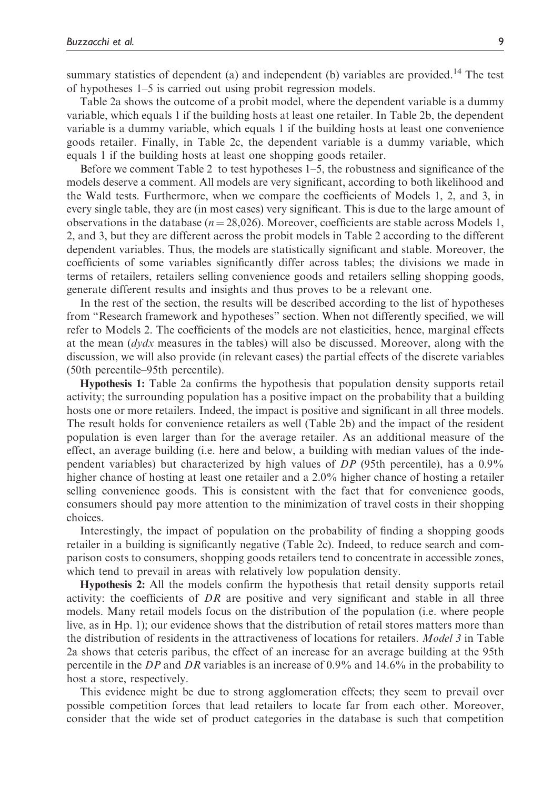summary statistics of dependent (a) and independent (b) variables are provided.<sup>14</sup> The test of hypotheses 1–5 is carried out using probit regression models.

Table 2a shows the outcome of a probit model, where the dependent variable is a dummy variable, which equals 1 if the building hosts at least one retailer. In Table 2b, the dependent variable is a dummy variable, which equals 1 if the building hosts at least one convenience goods retailer. Finally, in Table 2c, the dependent variable is a dummy variable, which equals 1 if the building hosts at least one shopping goods retailer.

Before we comment Table 2 to test hypotheses 1–5, the robustness and significance of the models deserve a comment. All models are very significant, according to both likelihood and the Wald tests. Furthermore, when we compare the coefficients of Models 1, 2, and 3, in every single table, they are (in most cases) very significant. This is due to the large amount of observations in the database ( $n = 28,026$ ). Moreover, coefficients are stable across Models 1, 2, and 3, but they are different across the probit models in Table 2 according to the different dependent variables. Thus, the models are statistically significant and stable. Moreover, the coefficients of some variables significantly differ across tables; the divisions we made in terms of retailers, retailers selling convenience goods and retailers selling shopping goods, generate different results and insights and thus proves to be a relevant one.

In the rest of the section, the results will be described according to the list of hypotheses from "Research framework and hypotheses" section. When not differently specified, we will refer to Models 2. The coefficients of the models are not elasticities, hence, marginal effects at the mean  $\left(\frac{dy}{dx}\right)$  measures in the tables) will also be discussed. Moreover, along with the discussion, we will also provide (in relevant cases) the partial effects of the discrete variables (50th percentile–95th percentile).

Hypothesis 1: Table 2a confirms the hypothesis that population density supports retail activity; the surrounding population has a positive impact on the probability that a building hosts one or more retailers. Indeed, the impact is positive and significant in all three models. The result holds for convenience retailers as well (Table 2b) and the impact of the resident population is even larger than for the average retailer. As an additional measure of the effect, an average building (i.e. here and below, a building with median values of the independent variables) but characterized by high values of DP (95th percentile), has a 0.9% higher chance of hosting at least one retailer and a 2.0% higher chance of hosting a retailer selling convenience goods. This is consistent with the fact that for convenience goods, consumers should pay more attention to the minimization of travel costs in their shopping choices.

Interestingly, the impact of population on the probability of finding a shopping goods retailer in a building is significantly negative (Table 2c). Indeed, to reduce search and comparison costs to consumers, shopping goods retailers tend to concentrate in accessible zones, which tend to prevail in areas with relatively low population density.

Hypothesis 2: All the models confirm the hypothesis that retail density supports retail activity: the coefficients of DR are positive and very significant and stable in all three models. Many retail models focus on the distribution of the population (i.e. where people live, as in Hp. 1); our evidence shows that the distribution of retail stores matters more than the distribution of residents in the attractiveness of locations for retailers. Model 3 in Table 2a shows that ceteris paribus, the effect of an increase for an average building at the 95th percentile in the DP and DR variables is an increase of 0.9% and 14.6% in the probability to host a store, respectively.

This evidence might be due to strong agglomeration effects; they seem to prevail over possible competition forces that lead retailers to locate far from each other. Moreover, consider that the wide set of product categories in the database is such that competition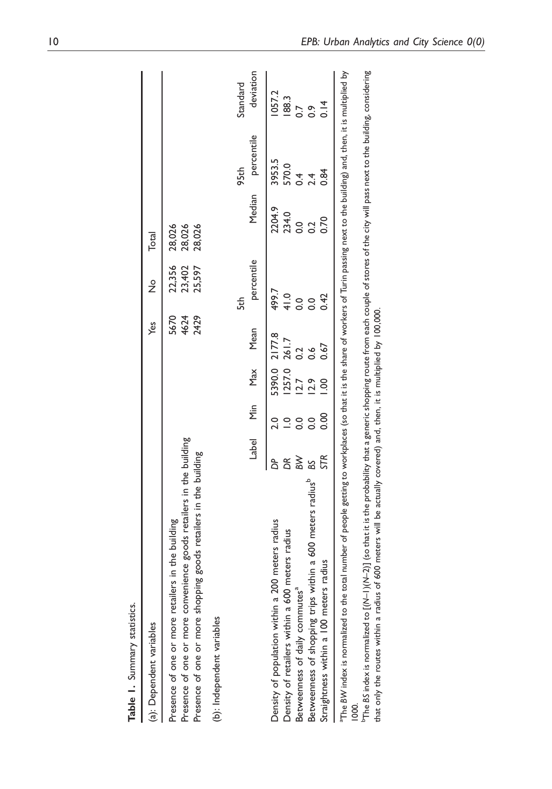| Table 1. Summary statistics.                                                                                                                                                                          |            |                |                                                              |                |                |        |              |               |
|-------------------------------------------------------------------------------------------------------------------------------------------------------------------------------------------------------|------------|----------------|--------------------------------------------------------------|----------------|----------------|--------|--------------|---------------|
| (a): Dependent variables                                                                                                                                                                              |            |                |                                                              | yes            | $\frac{1}{2}$  | Total  |              |               |
| Presence of one or more retailers in the building                                                                                                                                                     |            |                |                                                              | 5670           | 22,356         | 28,026 |              |               |
| Presence of one or more convenience goods retailers in the building                                                                                                                                   |            |                |                                                              | 4624           | 23,402         | 28,026 |              |               |
| Presence of one or more shopping goods retailers in the building                                                                                                                                      |            |                |                                                              | 2429           | 25,597         | 28,026 |              |               |
| (b): Independent variables                                                                                                                                                                            |            |                |                                                              |                |                |        |              |               |
|                                                                                                                                                                                                       |            |                |                                                              |                | 5th            |        | 95th         | Standard      |
|                                                                                                                                                                                                       | Label      | Min            | Max                                                          | Mean           | percentile     | Median | percentile   | deviation     |
| Density of population within a 200 meters radius                                                                                                                                                      | ЪP         | $\frac{5}{20}$ | 5390.0 2177.8                                                |                | 499.7          | 2204.9 | 3953.5       | 1057.2        |
| Density of retailers within a 600 meters radius                                                                                                                                                       | ΒŘ         |                |                                                              |                | 41.0           | 234.0  |              | 188.3         |
| Betweenness of daily commutes <sup>a</sup>                                                                                                                                                            | $\geq$     | $\frac{0}{2}$  | $\begin{array}{cc} 1257.0 & 261.7 \\ 12.7 & 0.2 \end{array}$ |                | $\overline{0}$ | 0.0    | 570.0<br>0.4 | 0.7           |
| a 600 meters radius <sup>b</sup><br>Betweenness of shopping trips within                                                                                                                              | BS         |                | 12.9                                                         | $\frac{6}{10}$ |                | 0.2    | 2.4          | $\frac{6}{2}$ |
| Straightness within a 100 meters radius                                                                                                                                                               | <b>STR</b> | 0.00           | S                                                            | 0.67           | 0.42           | 0.70   | 0.84         | 0.14          |
| "The BW index is normalized to the total number of people getting to workplaces (so that it is the share of workers of Turin passing next to the building) and, then, it is multiplied by             |            |                |                                                              |                |                |        |              |               |
| $^{\rm b}$ The BS index is normalized to [(N–1)(N–2)] (so that it is the probability that a generic shopping route from each couple of stores of the city will pass next to the building, considering |            |                |                                                              |                |                |        |              |               |
| that only the routes within a radius of 600 meters will be actually covered) and, then, it is multiplied by 1000.000                                                                                  |            |                |                                                              |                |                |        |              |               |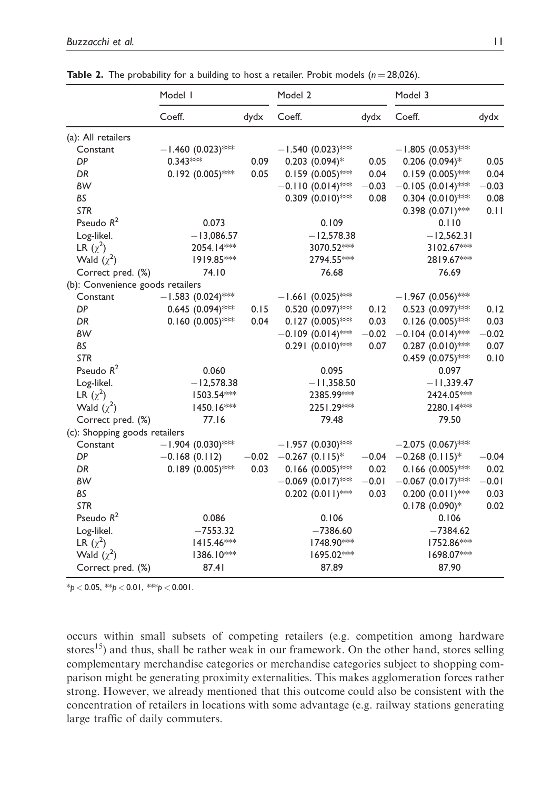|                                  | Model I              |         | Model 2                        |         | Model 3                      |         |
|----------------------------------|----------------------|---------|--------------------------------|---------|------------------------------|---------|
|                                  | Coeff.               | dydx    | Coeff.                         | dydx    | Coeff.                       | dydx    |
| (a): All retailers               |                      |         |                                |         |                              |         |
| Constant                         | $-1.460(0.023)$ **   |         | $-1.540(0.023)$ **             |         | $-1.805$ (0.053)***          |         |
| DP                               | $0.343***$           | 0.09    | $0.203$ $(0.094)$ <sup>*</sup> | 0.05    | $0.206$ (0.094) <sup>*</sup> | 0.05    |
| DR                               | 0.192 (0.005)***     | 0.05    | $0.159$ $(0.005)$ ***          | 0.04    | $0.159$ $(0.005)$ ***        | 0.04    |
| <b>BW</b>                        |                      |         | $-0.110(0.014)$ **             | $-0.03$ | $-0.105$ (0.014)***          | $-0.03$ |
| BS                               |                      |         | $0.309$ $(0.010)$ ***          | 0.08    | $0.304$ $(0.010)$ ***        | 0.08    |
| <b>STR</b>                       |                      |         |                                |         | $0.398$ $(0.071)$ ***        | 0.11    |
| Pseudo $R^2$                     | 0.073                |         | 0.109                          |         | 0.110                        |         |
| Log-likel.                       | $-13,086.57$         |         | $-12,578.38$                   |         | $-12,562.31$                 |         |
| LR $(\chi^2)$                    | 2054.14***           |         | 3070.52***                     |         | 3102.67***                   |         |
| Wald $(\chi^2)$                  | 1919.85***           |         | 2794.55***                     |         | 2819.67**                    |         |
| Correct pred. (%)                | 74.10                |         | 76.68                          |         | 76.69                        |         |
| (b): Convenience goods retailers |                      |         |                                |         |                              |         |
| Constant                         | $-1.583(0.024)$ **   |         | $-1.661(0.025)$ **             |         | $-1.967$ (0.056)***          |         |
| DP                               | 0.645 $(0.094)$ **   | 0.15    | 0.520 (0.097)***               | 0.12    | $0.523$ $(0.097)$ ***        | 0.12    |
| DR                               | $0.160 (0.005)$ **   | 0.04    | $0.127$ $(0.005)$ ***          | 0.03    | $0.126$ $(0.005)$ ***        | 0.03    |
| <b>BW</b>                        |                      |         | $-0.109$ (0.014)**             | $-0.02$ | $-0.104 (0.014)$ **          | $-0.02$ |
| <b>BS</b>                        |                      |         | $0.291$ $(0.010)$ **           | 0.07    | $0.287$ $(0.010)$ **         | 0.07    |
| <b>STR</b>                       |                      |         |                                |         | $0.459$ $(0.075)$ ***        | 0.10    |
| Pseudo $R^2$                     | 0.060                |         | 0.095                          |         | 0.097                        |         |
| Log-likel.                       | $-12,578.38$         |         | $-11,358.50$                   |         | $-11,339.47$                 |         |
| LR $(\chi^2)$                    | 1503.54***           |         | 2385.99***                     |         | 2424.05***                   |         |
| Wald $(\chi^2)$                  | 1450.16***           |         | 2251.29***                     |         | 2280.14***                   |         |
| Correct pred. (%)                | 77.16                |         | 79.48                          |         | 79.50                        |         |
| (c): Shopping goods retailers    |                      |         |                                |         |                              |         |
| Constant                         | $-1.904(0.030)$ **   |         | $-1.957$ (0.030)**             |         | $-2.075$ (0.067)***          |         |
| DP                               | $-0.168(0.112)$      | $-0.02$ | $-0.267$ (0.115)*              | $-0.04$ | $-0.268$ (0.115)*            | $-0.04$ |
| DR                               | $0.189$ $(0.005)$ ** | 0.03    | $0.166$ $(0.005)$ ***          | 0.02    | $0.166$ $(0.005)$ **         | 0.02    |
| BW                               |                      |         | $-0.069$ (0.017)***            | $-0.01$ | $-0.067$ (0.017)**           | $-0.01$ |
| ΒS                               |                      |         | $0.202$ $(0.011)$ ***          | 0.03    | $0.200$ $(0.011)$ **         | 0.03    |
| <b>STR</b>                       |                      |         |                                |         | $0.178(0.090)*$              | 0.02    |
| Pseudo $R^2$                     | 0.086                |         | 0.106                          |         | 0.106                        |         |
| Log-likel.                       | $-7553.32$           |         | $-7386.60$                     |         | $-7384.62$                   |         |
| LR $(\chi^2)$                    | 1415.46***           |         | 1748.90***                     |         | 1752.86***                   |         |
| Wald $(\chi^2)$                  | 1386.10***           |         | 1695.02***                     |         | 1698.07***                   |         |
| Correct pred. (%)                | 87.41                |         | 87.89                          |         | 87.90                        |         |

Table 2. The probability for a building to host a retailer. Probit models  $(n = 28,026)$ .

 $*_{p}$  < 0.05,  $*_{p}$  < 0.01,  $*_{p}$  < 0.001.

occurs within small subsets of competing retailers (e.g. competition among hardware stores<sup>15</sup>) and thus, shall be rather weak in our framework. On the other hand, stores selling complementary merchandise categories or merchandise categories subject to shopping comparison might be generating proximity externalities. This makes agglomeration forces rather strong. However, we already mentioned that this outcome could also be consistent with the concentration of retailers in locations with some advantage (e.g. railway stations generating large traffic of daily commuters.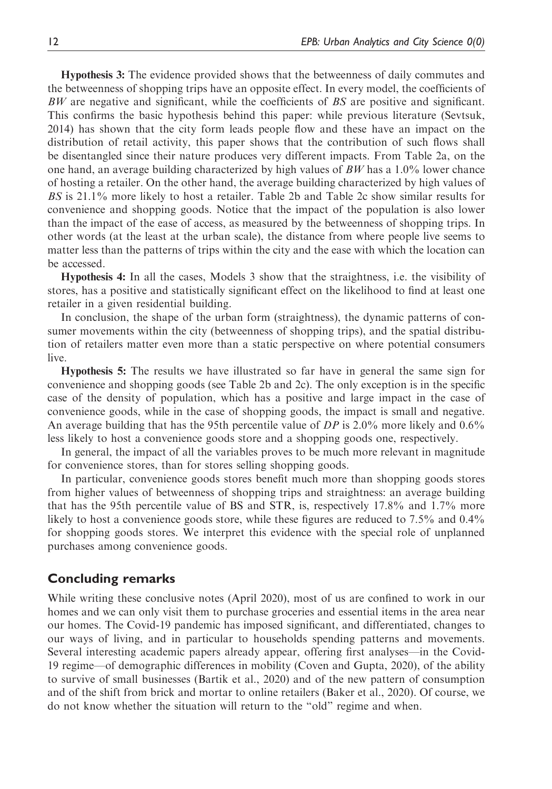Hypothesis 3: The evidence provided shows that the betweenness of daily commutes and the betweenness of shopping trips have an opposite effect. In every model, the coefficients of BW are negative and significant, while the coefficients of BS are positive and significant. This confirms the basic hypothesis behind this paper: while previous literature (Sevtsuk, 2014) has shown that the city form leads people flow and these have an impact on the distribution of retail activity, this paper shows that the contribution of such flows shall be disentangled since their nature produces very different impacts. From Table 2a, on the one hand, an average building characterized by high values of  $BW$  has a 1.0% lower chance of hosting a retailer. On the other hand, the average building characterized by high values of BS is 21.1% more likely to host a retailer. Table 2b and Table 2c show similar results for convenience and shopping goods. Notice that the impact of the population is also lower than the impact of the ease of access, as measured by the betweenness of shopping trips. In other words (at the least at the urban scale), the distance from where people live seems to matter less than the patterns of trips within the city and the ease with which the location can be accessed.

Hypothesis 4: In all the cases, Models 3 show that the straightness, i.e. the visibility of stores, has a positive and statistically significant effect on the likelihood to find at least one retailer in a given residential building.

In conclusion, the shape of the urban form (straightness), the dynamic patterns of consumer movements within the city (betweenness of shopping trips), and the spatial distribution of retailers matter even more than a static perspective on where potential consumers live.

Hypothesis 5: The results we have illustrated so far have in general the same sign for convenience and shopping goods (see Table 2b and 2c). The only exception is in the specific case of the density of population, which has a positive and large impact in the case of convenience goods, while in the case of shopping goods, the impact is small and negative. An average building that has the 95th percentile value of DP is 2.0% more likely and  $0.6\%$ less likely to host a convenience goods store and a shopping goods one, respectively.

In general, the impact of all the variables proves to be much more relevant in magnitude for convenience stores, than for stores selling shopping goods.

In particular, convenience goods stores benefit much more than shopping goods stores from higher values of betweenness of shopping trips and straightness: an average building that has the 95th percentile value of BS and STR, is, respectively 17.8% and 1.7% more likely to host a convenience goods store, while these figures are reduced to 7.5% and 0.4% for shopping goods stores. We interpret this evidence with the special role of unplanned purchases among convenience goods.

# Concluding remarks

While writing these conclusive notes (April 2020), most of us are confined to work in our homes and we can only visit them to purchase groceries and essential items in the area near our homes. The Covid-19 pandemic has imposed significant, and differentiated, changes to our ways of living, and in particular to households spending patterns and movements. Several interesting academic papers already appear, offering first analyses—in the Covid-19 regime—of demographic differences in mobility (Coven and Gupta, 2020), of the ability to survive of small businesses (Bartik et al., 2020) and of the new pattern of consumption and of the shift from brick and mortar to online retailers (Baker et al., 2020). Of course, we do not know whether the situation will return to the "old" regime and when.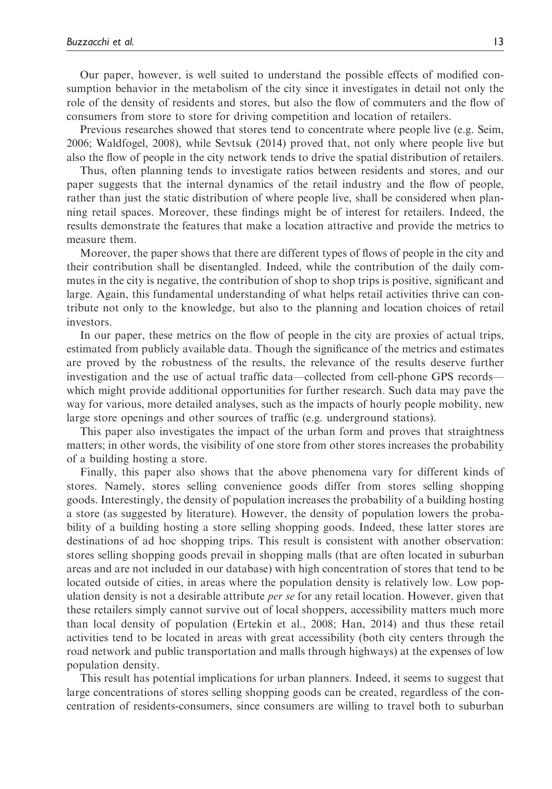Our paper, however, is well suited to understand the possible effects of modified consumption behavior in the metabolism of the city since it investigates in detail not only the role of the density of residents and stores, but also the flow of commuters and the flow of consumers from store to store for driving competition and location of retailers.

Previous researches showed that stores tend to concentrate where people live (e.g. Seim, 2006; Waldfogel, 2008), while Sevtsuk (2014) proved that, not only where people live but also the flow of people in the city network tends to drive the spatial distribution of retailers.

Thus, often planning tends to investigate ratios between residents and stores, and our paper suggests that the internal dynamics of the retail industry and the flow of people, rather than just the static distribution of where people live, shall be considered when planning retail spaces. Moreover, these findings might be of interest for retailers. Indeed, the results demonstrate the features that make a location attractive and provide the metrics to measure them.

Moreover, the paper shows that there are different types of flows of people in the city and their contribution shall be disentangled. Indeed, while the contribution of the daily commutes in the city is negative, the contribution of shop to shop trips is positive, significant and large. Again, this fundamental understanding of what helps retail activities thrive can contribute not only to the knowledge, but also to the planning and location choices of retail investors.

In our paper, these metrics on the flow of people in the city are proxies of actual trips, estimated from publicly available data. Though the significance of the metrics and estimates are proved by the robustness of the results, the relevance of the results deserve further investigation and the use of actual traffic data—collected from cell-phone GPS records which might provide additional opportunities for further research. Such data may pave the way for various, more detailed analyses, such as the impacts of hourly people mobility, new large store openings and other sources of traffic (e.g. underground stations).

This paper also investigates the impact of the urban form and proves that straightness matters; in other words, the visibility of one store from other stores increases the probability of a building hosting a store.

Finally, this paper also shows that the above phenomena vary for different kinds of stores. Namely, stores selling convenience goods differ from stores selling shopping goods. Interestingly, the density of population increases the probability of a building hosting a store (as suggested by literature). However, the density of population lowers the probability of a building hosting a store selling shopping goods. Indeed, these latter stores are destinations of ad hoc shopping trips. This result is consistent with another observation: stores selling shopping goods prevail in shopping malls (that are often located in suburban areas and are not included in our database) with high concentration of stores that tend to be located outside of cities, in areas where the population density is relatively low. Low population density is not a desirable attribute *per se* for any retail location. However, given that these retailers simply cannot survive out of local shoppers, accessibility matters much more than local density of population (Ertekin et al., 2008; Han, 2014) and thus these retail activities tend to be located in areas with great accessibility (both city centers through the road network and public transportation and malls through highways) at the expenses of low population density.

This result has potential implications for urban planners. Indeed, it seems to suggest that large concentrations of stores selling shopping goods can be created, regardless of the concentration of residents-consumers, since consumers are willing to travel both to suburban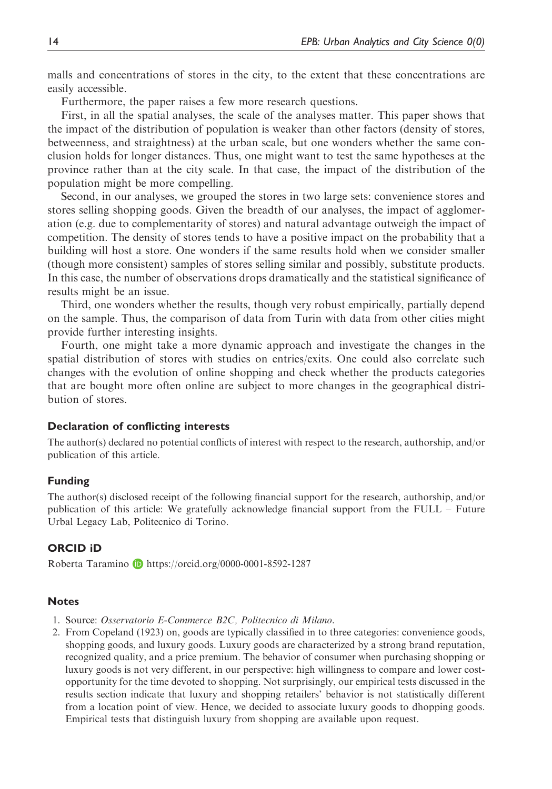malls and concentrations of stores in the city, to the extent that these concentrations are easily accessible.

Furthermore, the paper raises a few more research questions.

First, in all the spatial analyses, the scale of the analyses matter. This paper shows that the impact of the distribution of population is weaker than other factors (density of stores, betweenness, and straightness) at the urban scale, but one wonders whether the same conclusion holds for longer distances. Thus, one might want to test the same hypotheses at the province rather than at the city scale. In that case, the impact of the distribution of the population might be more compelling.

Second, in our analyses, we grouped the stores in two large sets: convenience stores and stores selling shopping goods. Given the breadth of our analyses, the impact of agglomeration (e.g. due to complementarity of stores) and natural advantage outweigh the impact of competition. The density of stores tends to have a positive impact on the probability that a building will host a store. One wonders if the same results hold when we consider smaller (though more consistent) samples of stores selling similar and possibly, substitute products. In this case, the number of observations drops dramatically and the statistical significance of results might be an issue.

Third, one wonders whether the results, though very robust empirically, partially depend on the sample. Thus, the comparison of data from Turin with data from other cities might provide further interesting insights.

Fourth, one might take a more dynamic approach and investigate the changes in the spatial distribution of stores with studies on entries/exits. One could also correlate such changes with the evolution of online shopping and check whether the products categories that are bought more often online are subject to more changes in the geographical distribution of stores.

# Declaration of conflicting interests

The author(s) declared no potential conflicts of interest with respect to the research, authorship, and/or publication of this article.

# Funding

The author(s) disclosed receipt of the following financial support for the research, authorship, and/or publication of this article: We gratefully acknowledge financial support from the FULL – Future Urbal Legacy Lab, Politecnico di Torino.

# ORCID iD

Roberta Taramino D <https://orcid.org/0000-0001-8592-1287>

## **Notes**

- 1. Source: Osservatorio E-Commerce B2C, Politecnico di Milano.
- 2. From Copeland (1923) on, goods are typically classified in to three categories: convenience goods, shopping goods, and luxury goods. Luxury goods are characterized by a strong brand reputation, recognized quality, and a price premium. The behavior of consumer when purchasing shopping or luxury goods is not very different, in our perspective: high willingness to compare and lower costopportunity for the time devoted to shopping. Not surprisingly, our empirical tests discussed in the results section indicate that luxury and shopping retailers' behavior is not statistically different from a location point of view. Hence, we decided to associate luxury goods to dhopping goods. Empirical tests that distinguish luxury from shopping are available upon request.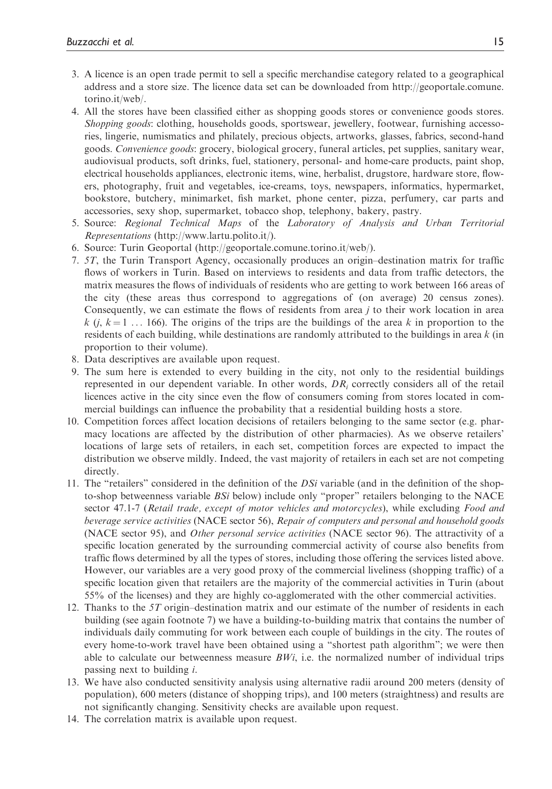- 3. A licence is an open trade permit to sell a specific merchandise category related to a geographical address and a store size. The licence data set can be downloaded from [http://geoportale.comune.](http://geoportale.comune.torino.it/web/) [torino.it/web/](http://geoportale.comune.torino.it/web/).
- 4. All the stores have been classified either as shopping goods stores or convenience goods stores. Shopping goods: clothing, households goods, sportswear, jewellery, footwear, furnishing accessories, lingerie, numismatics and philately, precious objects, artworks, glasses, fabrics, second-hand goods. Convenience goods: grocery, biological grocery, funeral articles, pet supplies, sanitary wear, audiovisual products, soft drinks, fuel, stationery, personal- and home-care products, paint shop, electrical households appliances, electronic items, wine, herbalist, drugstore, hardware store, flowers, photography, fruit and vegetables, ice-creams, toys, newspapers, informatics, hypermarket, bookstore, butchery, minimarket, fish market, phone center, pizza, perfumery, car parts and accessories, sexy shop, supermarket, tobacco shop, telephony, bakery, pastry.
- 5. Source: Regional Technical Maps of the Laboratory of Analysis and Urban Territorial Representations ([http://www.lartu.polito.it/\)](http://www.lartu.polito.it/).
- 6. Source: Turin Geoportal ([http://geoportale.comune.torino.it/web/\)](http://geoportale.comune.torino.it/web/).
- 7. 5T, the Turin Transport Agency, occasionally produces an origin–destination matrix for traffic flows of workers in Turin. Based on interviews to residents and data from traffic detectors, the matrix measures the flows of individuals of residents who are getting to work between 166 areas of the city (these areas thus correspond to aggregations of (on average) 20 census zones). Consequently, we can estimate the flows of residents from area  $j$  to their work location in area k (i,  $k = 1...166$ ). The origins of the trips are the buildings of the area k in proportion to the residents of each building, while destinations are randomly attributed to the buildings in area  $k$  (in proportion to their volume).
- 8. Data descriptives are available upon request.
- 9. The sum here is extended to every building in the city, not only to the residential buildings represented in our dependent variable. In other words,  $DR<sub>i</sub>$  correctly considers all of the retail licences active in the city since even the flow of consumers coming from stores located in commercial buildings can influence the probability that a residential building hosts a store.
- 10. Competition forces affect location decisions of retailers belonging to the same sector (e.g. pharmacy locations are affected by the distribution of other pharmacies). As we observe retailers' locations of large sets of retailers, in each set, competition forces are expected to impact the distribution we observe mildly. Indeed, the vast majority of retailers in each set are not competing directly.
- 11. The "retailers" considered in the definition of the DSi variable (and in the definition of the shopto-shop betweenness variable BSi below) include only "proper" retailers belonging to the NACE sector 47.1-7 (Retail trade, except of motor vehicles and motorcycles), while excluding Food and beverage service activities (NACE sector 56), Repair of computers and personal and household goods (NACE sector 95), and Other personal service activities (NACE sector 96). The attractivity of a specific location generated by the surrounding commercial activity of course also benefits from traffic flows determined by all the types of stores, including those offering the services listed above. However, our variables are a very good proxy of the commercial liveliness (shopping traffic) of a specific location given that retailers are the majority of the commercial activities in Turin (about 55% of the licenses) and they are highly co-agglomerated with the other commercial activities.
- 12. Thanks to the 5T origin–destination matrix and our estimate of the number of residents in each building (see again footnote 7) we have a building-to-building matrix that contains the number of individuals daily commuting for work between each couple of buildings in the city. The routes of every home-to-work travel have been obtained using a "shortest path algorithm"; we were then able to calculate our betweenness measure  $BWi$ , i.e. the normalized number of individual trips passing next to building  $i$ .
- 13. We have also conducted sensitivity analysis using alternative radii around 200 meters (density of population), 600 meters (distance of shopping trips), and 100 meters (straightness) and results are not significantly changing. Sensitivity checks are available upon request.
- 14. The correlation matrix is available upon request.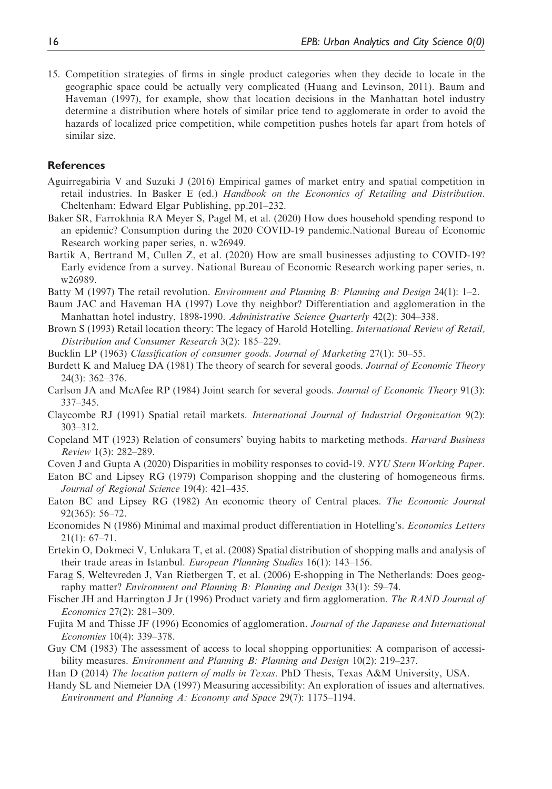15. Competition strategies of firms in single product categories when they decide to locate in the geographic space could be actually very complicated (Huang and Levinson, 2011). Baum and Haveman (1997), for example, show that location decisions in the Manhattan hotel industry determine a distribution where hotels of similar price tend to agglomerate in order to avoid the hazards of localized price competition, while competition pushes hotels far apart from hotels of similar size.

## **References**

- Aguirregabiria V and Suzuki J (2016) Empirical games of market entry and spatial competition in retail industries. In Basker E (ed.) Handbook on the Economics of Retailing and Distribution. Cheltenham: Edward Elgar Publishing, pp.201–232.
- Baker SR, Farrokhnia RA Meyer S, Pagel M, et al. (2020) How does household spending respond to an epidemic? Consumption during the 2020 COVID-19 pandemic.National Bureau of Economic Research working paper series, n. w26949.
- Bartik A, Bertrand M, Cullen Z, et al. (2020) How are small businesses adjusting to COVID-19? Early evidence from a survey. National Bureau of Economic Research working paper series, n. w26989.

Batty M (1997) The retail revolution. Environment and Planning B: Planning and Design 24(1): 1-2.

- Baum JAC and Haveman HA (1997) Love thy neighbor? Differentiation and agglomeration in the Manhattan hotel industry, 1898-1990. Administrative Science Quarterly 42(2): 304–338.
- Brown S (1993) Retail location theory: The legacy of Harold Hotelling. *International Review of Retail*, Distribution and Consumer Research 3(2): 185–229.

Bucklin LP (1963) Classification of consumer goods. Journal of Marketing 27(1): 50–55.

- Burdett K and Malueg DA (1981) The theory of search for several goods. Journal of Economic Theory 24(3): 362–376.
- Carlson JA and McAfee RP (1984) Joint search for several goods. Journal of Economic Theory 91(3): 337–345.
- Claycombe RJ (1991) Spatial retail markets. International Journal of Industrial Organization 9(2): 303–312.
- Copeland MT (1923) Relation of consumers' buying habits to marketing methods. Harvard Business Review 1(3): 282–289.
- Coven J and Gupta A (2020) Disparities in mobility responses to covid-19. NYU Stern Working Paper.
- Eaton BC and Lipsey RG (1979) Comparison shopping and the clustering of homogeneous firms. Journal of Regional Science 19(4): 421–435.
- Eaton BC and Lipsey RG (1982) An economic theory of Central places. The Economic Journal 92(365): 56–72.
- Economides N (1986) Minimal and maximal product differentiation in Hotelling's. Economics Letters  $21(1): 67-71.$
- Ertekin O, Dokmeci V, Unlukara T, et al. (2008) Spatial distribution of shopping malls and analysis of their trade areas in Istanbul. European Planning Studies 16(1): 143–156.
- Farag S, Weltevreden J, Van Rietbergen T, et al. (2006) E-shopping in The Netherlands: Does geography matter? Environment and Planning B: Planning and Design 33(1): 59–74.
- Fischer JH and Harrington J Jr (1996) Product variety and firm agglomeration. The RAND Journal of Economics 27(2): 281–309.
- Fujita M and Thisse JF (1996) Economics of agglomeration. Journal of the Japanese and International Economies 10(4): 339–378.
- Guy CM (1983) The assessment of access to local shopping opportunities: A comparison of accessibility measures. Environment and Planning B: Planning and Design 10(2): 219-237.

Han D (2014) The location pattern of malls in Texas. PhD Thesis, Texas A&M University, USA.

Handy SL and Niemeier DA (1997) Measuring accessibility: An exploration of issues and alternatives. Environment and Planning A: Economy and Space 29(7): 1175–1194.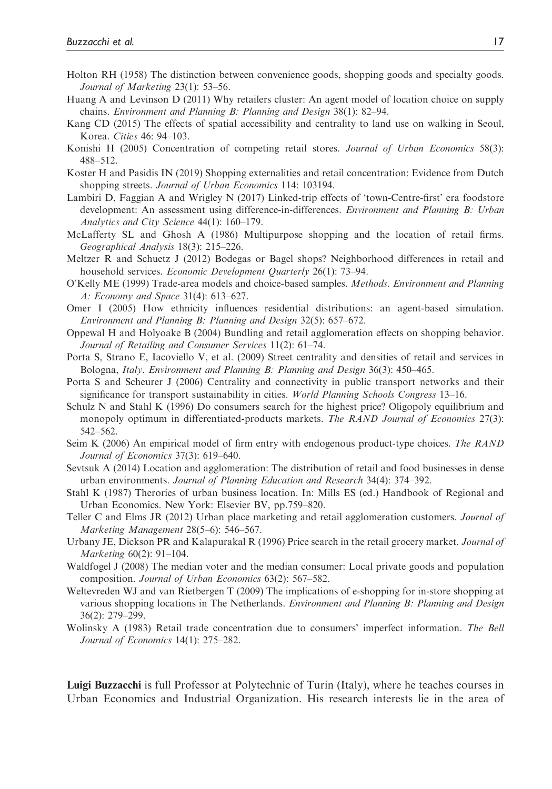- Holton RH (1958) The distinction between convenience goods, shopping goods and specialty goods. Journal of Marketing 23(1): 53–56.
- Huang A and Levinson D (2011) Why retailers cluster: An agent model of location choice on supply chains. Environment and Planning B: Planning and Design 38(1): 82–94.
- Kang CD (2015) The effects of spatial accessibility and centrality to land use on walking in Seoul, Korea. Cities 46: 94–103.
- Konishi H (2005) Concentration of competing retail stores. Journal of Urban Economics 58(3): 488–512.
- Koster H and Pasidis IN (2019) Shopping externalities and retail concentration: Evidence from Dutch shopping streets. Journal of Urban Economics 114: 103194.
- Lambiri D, Faggian A and Wrigley N (2017) Linked-trip effects of 'town-Centre-first' era foodstore development: An assessment using difference-in-differences. Environment and Planning B: Urban Analytics and City Science 44(1): 160–179.
- McLafferty SL and Ghosh A (1986) Multipurpose shopping and the location of retail firms. Geographical Analysis 18(3): 215–226.
- Meltzer R and Schuetz J (2012) Bodegas or Bagel shops? Neighborhood differences in retail and household services. Economic Development Quarterly 26(1): 73–94.
- O'Kelly ME (1999) Trade-area models and choice-based samples. Methods. Environment and Planning A: Economy and Space 31(4): 613–627.
- Omer I (2005) How ethnicity influences residential distributions: an agent-based simulation. Environment and Planning B: Planning and Design 32(5): 657–672.
- Oppewal H and Holyoake B (2004) Bundling and retail agglomeration effects on shopping behavior. Journal of Retailing and Consumer Services 11(2): 61–74.
- Porta S, Strano E, Iacoviello V, et al. (2009) Street centrality and densities of retail and services in Bologna, Italy. Environment and Planning B: Planning and Design 36(3): 450–465.
- Porta S and Scheurer J (2006) Centrality and connectivity in public transport networks and their significance for transport sustainability in cities. World Planning Schools Congress 13–16.
- Schulz N and Stahl K (1996) Do consumers search for the highest price? Oligopoly equilibrium and monopoly optimum in differentiated-products markets. The RAND Journal of Economics 27(3): 542–562.
- Seim K (2006) An empirical model of firm entry with endogenous product-type choices. The RAND Journal of Economics 37(3): 619–640.
- Sevtsuk A (2014) Location and agglomeration: The distribution of retail and food businesses in dense urban environments. Journal of Planning Education and Research 34(4): 374–392.
- Stahl K (1987) Therories of urban business location. In: Mills ES (ed.) Handbook of Regional and Urban Economics. New York: Elsevier BV, pp.759–820.
- Teller C and Elms JR (2012) Urban place marketing and retail agglomeration customers. Journal of Marketing Management 28(5–6): 546–567.
- Urbany JE, Dickson PR and Kalapurakal R (1996) Price search in the retail grocery market. Journal of Marketing 60(2): 91–104.
- Waldfogel J (2008) The median voter and the median consumer: Local private goods and population composition. Journal of Urban Economics 63(2): 567–582.
- Weltevreden WJ and van Rietbergen T (2009) The implications of e-shopping for in-store shopping at various shopping locations in The Netherlands. Environment and Planning B: Planning and Design 36(2): 279–299.
- Wolinsky A (1983) Retail trade concentration due to consumers' imperfect information. The Bell Journal of Economics 14(1): 275–282.

Luigi Buzzacchi is full Professor at Polytechnic of Turin (Italy), where he teaches courses in Urban Economics and Industrial Organization. His research interests lie in the area of